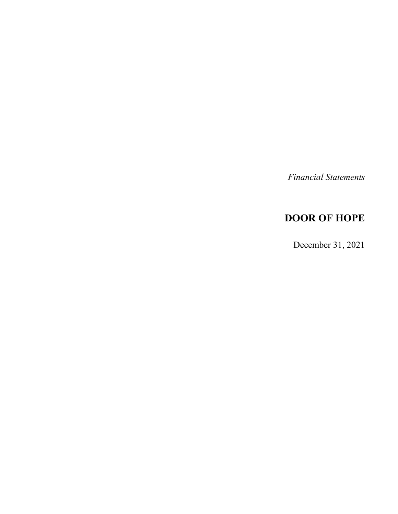*Financial Statements*

# **DOOR OF HOPE**

December 31, 2021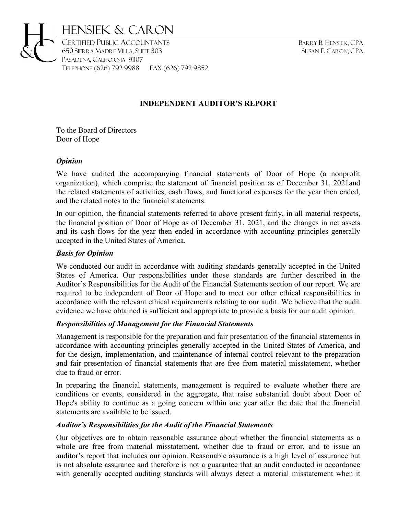

# HENSIEK & CARON

**CERTIFIED PUBLIC ACCOUNTANTS** BARRY B. HENSIEK, CPA 650 SIERRA MADRE VILLA, SUITE 303 SUSAN E. CARON, CPA PASADENA, CALIFORNIA 91107 TELEPHONE (626) 792-9988 Fax (626) 792-9852

## **INDEPENDENT AUDITOR'S REPORT**

To the Board of Directors Door of Hope

## *Opinion*

We have audited the accompanying financial statements of Door of Hope (a nonprofit organization), which comprise the statement of financial position as of December 31, 2021and the related statements of activities, cash flows, and functional expenses for the year then ended, and the related notes to the financial statements.

In our opinion, the financial statements referred to above present fairly, in all material respects, the financial position of Door of Hope as of December 31, 2021, and the changes in net assets and its cash flows for the year then ended in accordance with accounting principles generally accepted in the United States of America.

## *Basis for Opinion*

We conducted our audit in accordance with auditing standards generally accepted in the United States of America. Our responsibilities under those standards are further described in the Auditor's Responsibilities for the Audit of the Financial Statements section of our report. We are required to be independent of Door of Hope and to meet our other ethical responsibilities in accordance with the relevant ethical requirements relating to our audit. We believe that the audit evidence we have obtained is sufficient and appropriate to provide a basis for our audit opinion.

## *Responsibilities of Management for the Financial Statements*

Management is responsible for the preparation and fair presentation of the financial statements in accordance with accounting principles generally accepted in the United States of America, and for the design, implementation, and maintenance of internal control relevant to the preparation and fair presentation of financial statements that are free from material misstatement, whether due to fraud or error.

In preparing the financial statements, management is required to evaluate whether there are conditions or events, considered in the aggregate, that raise substantial doubt about Door of Hope's ability to continue as a going concern within one year after the date that the financial statements are available to be issued.

## *Auditor's Responsibilities for the Audit of the Financial Statements*

Our objectives are to obtain reasonable assurance about whether the financial statements as a whole are free from material misstatement, whether due to fraud or error, and to issue an auditor's report that includes our opinion. Reasonable assurance is a high level of assurance but is not absolute assurance and therefore is not a guarantee that an audit conducted in accordance with generally accepted auditing standards will always detect a material misstatement when it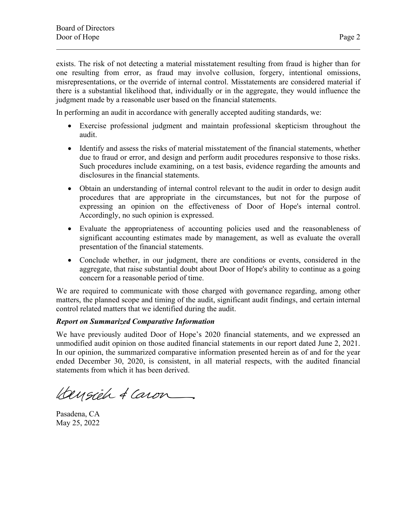exists. The risk of not detecting a material misstatement resulting from fraud is higher than for one resulting from error, as fraud may involve collusion, forgery, intentional omissions, misrepresentations, or the override of internal control. Misstatements are considered material if there is a substantial likelihood that, individually or in the aggregate, they would influence the judgment made by a reasonable user based on the financial statements.

In performing an audit in accordance with generally accepted auditing standards, we:

- Exercise professional judgment and maintain professional skepticism throughout the audit.
- Identify and assess the risks of material misstatement of the financial statements, whether due to fraud or error, and design and perform audit procedures responsive to those risks. Such procedures include examining, on a test basis, evidence regarding the amounts and disclosures in the financial statements.
- Obtain an understanding of internal control relevant to the audit in order to design audit procedures that are appropriate in the circumstances, but not for the purpose of expressing an opinion on the effectiveness of Door of Hope's internal control. Accordingly, no such opinion is expressed.
- Evaluate the appropriateness of accounting policies used and the reasonableness of significant accounting estimates made by management, as well as evaluate the overall presentation of the financial statements.
- Conclude whether, in our judgment, there are conditions or events, considered in the aggregate, that raise substantial doubt about Door of Hope's ability to continue as a going concern for a reasonable period of time.

We are required to communicate with those charged with governance regarding, among other matters, the planned scope and timing of the audit, significant audit findings, and certain internal control related matters that we identified during the audit.

## *Report on Summarized Comparative Information*

We have previously audited Door of Hope's 2020 financial statements, and we expressed an unmodified audit opinion on those audited financial statements in our report dated June 2, 2021. In our opinion, the summarized comparative information presented herein as of and for the year ended December 30, 2020, is consistent, in all material respects, with the audited financial statements from which it has been derived.

Hensieh & Caron

Pasadena, CA May 25, 2022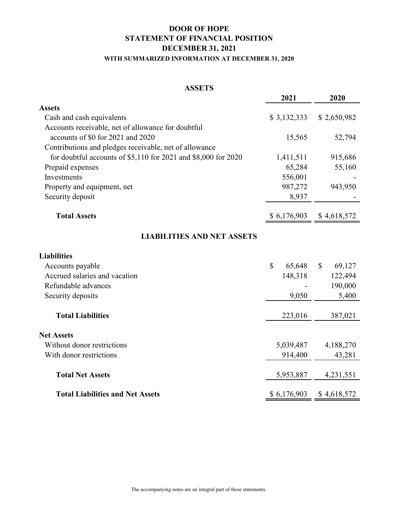# **WITH SUMMARIZED INFORMATION AT DECEMBER 31, 2020 DECEMBER 31, 2021 STATEMENT OF FINANCIAL POSITION DOOR OF HOPE**

### **ASSETS**

|                                                                | 2021                   | 2020                      |
|----------------------------------------------------------------|------------------------|---------------------------|
| <b>Assets</b>                                                  |                        |                           |
| Cash and cash equivalents                                      | \$3,132,333            | \$2,650,982               |
| Accounts receivable, net of allowance for doubtful             |                        |                           |
| accounts of \$0 for 2021 and 2020                              | 15,565                 | 52,794                    |
| Contributions and pledges receivable, net of allowance         |                        |                           |
| for doubtful accounts of \$5,110 for 2021 and \$8,000 for 2020 | 1,411,511              | 915,686                   |
| Prepaid expenses                                               | 65,284                 | 55,160                    |
| Investments                                                    | 556,001                |                           |
| Property and equipment, net                                    | 987,272                | 943,950                   |
| Security deposit                                               | 8,937                  |                           |
| <b>Total Assets</b>                                            |                        | $$6,176,903$ $$4,618,572$ |
| <b>LIABILITIES AND NET ASSETS</b>                              |                        |                           |
| <b>Liabilities</b>                                             |                        |                           |
| Accounts payable                                               | $\mathbb{S}$<br>65,648 | $\mathbb{S}$<br>69,127    |
| Accrued salaries and vacation                                  | 148,318                | 122,494                   |
| Refundable advances                                            |                        | 190,000                   |
| Security deposits                                              | 9,050                  | 5,400                     |
| <b>Total Liabilities</b>                                       | 223,016                | 387,021                   |
| <b>Net Assets</b>                                              |                        |                           |
| Without donor restrictions                                     | 5,039,487              | 4,188,270                 |
| With donor restrictions                                        | 914,400                | 43,281                    |
| <b>Total Net Assets</b>                                        | 5,953,887              | 4,231,551                 |
| <b>Total Liabilities and Net Assets</b>                        | \$6,176,903            | \$4,618,572               |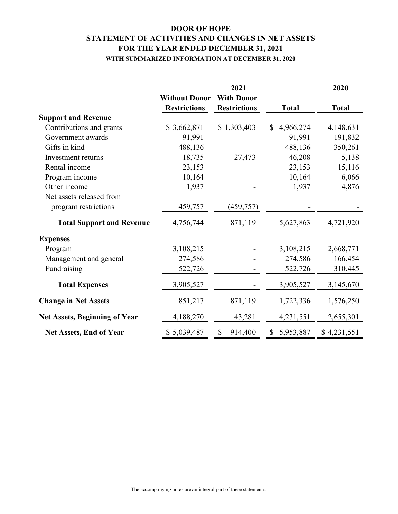# **DOOR OF HOPE STATEMENT OF ACTIVITIES AND CHANGES IN NET ASSETS FOR THE YEAR ENDED DECEMBER 31, 2021 WITH SUMMARIZED INFORMATION AT DECEMBER 31, 2020**

|                                      |                      | 2020                |                           |              |
|--------------------------------------|----------------------|---------------------|---------------------------|--------------|
|                                      | <b>Without Donor</b> | <b>With Donor</b>   |                           |              |
|                                      | <b>Restrictions</b>  | <b>Restrictions</b> | <b>Total</b>              | <b>Total</b> |
| <b>Support and Revenue</b>           |                      |                     |                           |              |
| Contributions and grants             | \$3,662,871          | \$1,303,403         | $\mathbb{S}$<br>4,966,274 | 4,148,631    |
| Government awards                    | 91,991               |                     | 91,991                    | 191,832      |
| Gifts in kind                        | 488,136              |                     | 488,136                   | 350,261      |
| Investment returns                   | 18,735               | 27,473              | 46,208                    | 5,138        |
| Rental income                        | 23,153               |                     | 23,153                    | 15,116       |
| Program income                       | 10,164               |                     | 10,164                    | 6,066        |
| Other income                         | 1,937                |                     | 1,937                     | 4,876        |
| Net assets released from             |                      |                     |                           |              |
| program restrictions                 | 459,757              | (459, 757)          |                           |              |
| <b>Total Support and Revenue</b>     | 4,756,744            | 871,119             | 5,627,863                 | 4,721,920    |
| <b>Expenses</b>                      |                      |                     |                           |              |
| Program                              | 3,108,215            |                     | 3,108,215                 | 2,668,771    |
| Management and general               | 274,586              |                     | 274,586                   | 166,454      |
| Fundraising                          | 522,726              |                     | 522,726                   | 310,445      |
| <b>Total Expenses</b>                | 3,905,527            |                     | 3,905,527                 | 3,145,670    |
| <b>Change in Net Assets</b>          | 851,217              | 871,119             | 1,722,336                 | 1,576,250    |
| <b>Net Assets, Beginning of Year</b> | 4,188,270            | 43,281              | 4,231,551                 | 2,655,301    |
| <b>Net Assets, End of Year</b>       | \$5,039,487          | 914,400<br>\$       | 5,953,887<br>\$           | \$4,231,551  |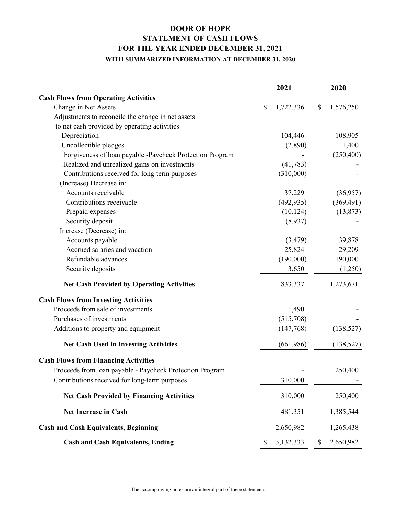# **DOOR OF HOPE STATEMENT OF CASH FLOWS FOR THE YEAR ENDED DECEMBER 31, 2021 WITH SUMMARIZED INFORMATION AT DECEMBER 31, 2020**

|                                                          | 2021            | 2020            |
|----------------------------------------------------------|-----------------|-----------------|
| <b>Cash Flows from Operating Activities</b>              |                 |                 |
| Change in Net Assets                                     | \$<br>1,722,336 | \$<br>1,576,250 |
| Adjustments to reconcile the change in net assets        |                 |                 |
| to net cash provided by operating activities             |                 |                 |
| Depreciation                                             | 104,446         | 108,905         |
| Uncollectible pledges                                    | (2,890)         | 1,400           |
| Forgiveness of loan payable -Paycheck Protection Program |                 | (250, 400)      |
| Realized and unrealized gains on investments             | (41, 783)       |                 |
| Contributions received for long-term purposes            | (310,000)       |                 |
| (Increase) Decrease in:                                  |                 |                 |
| Accounts receivable                                      | 37,229          | (36,957)        |
| Contributions receivable                                 | (492, 935)      | (369, 491)      |
| Prepaid expenses                                         | (10, 124)       | (13, 873)       |
| Security deposit                                         | (8,937)         |                 |
| Increase (Decrease) in:                                  |                 |                 |
| Accounts payable                                         | (3, 479)        | 39,878          |
| Accrued salaries and vacation                            | 25,824          | 29,209          |
| Refundable advances                                      | (190,000)       | 190,000         |
| Security deposits                                        | 3,650           | (1,250)         |
| <b>Net Cash Provided by Operating Activities</b>         | 833,337         | 1,273,671       |
| <b>Cash Flows from Investing Activities</b>              |                 |                 |
| Proceeds from sale of investments                        | 1,490           |                 |
| Purchases of investments                                 | (515,708)       |                 |
| Additions to property and equipment                      | (147, 768)      | (138, 527)      |
| <b>Net Cash Used in Investing Activities</b>             | (661,986)       | (138, 527)      |
| <b>Cash Flows from Financing Activities</b>              |                 |                 |
| Proceeds from loan payable - Paycheck Protection Program |                 | 250,400         |
| Contributions received for long-term purposes            | 310,000         |                 |
| <b>Net Cash Provided by Financing Activities</b>         | 310,000         | 250,400         |
| Net Increase in Cash                                     | 481,351         | 1,385,544       |
| <b>Cash and Cash Equivalents, Beginning</b>              | 2,650,982       | 1,265,438       |
| <b>Cash and Cash Equivalents, Ending</b>                 | \$<br>3,132,333 | \$<br>2,650,982 |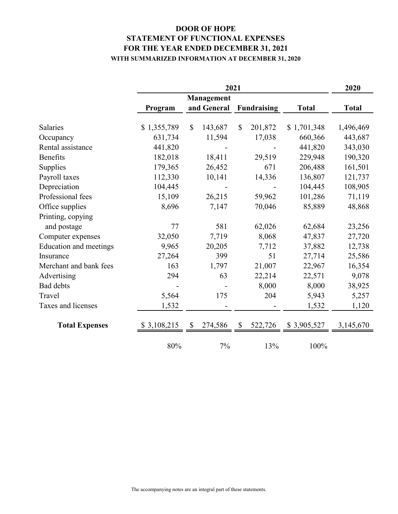# **WITH SUMMARIZED INFORMATION AT DECEMBER 31, 2020 FOR THE YEAR ENDED DECEMBER 31, 2021 STATEMENT OF FUNCTIONAL EXPENSES DOOR OF HOPE**

| 2021                          |             |                          |                         | 2020         |              |
|-------------------------------|-------------|--------------------------|-------------------------|--------------|--------------|
|                               |             | Management               |                         |              |              |
|                               | Program     | and General              | <b>Fundraising</b>      | <b>Total</b> | <b>Total</b> |
|                               |             |                          |                         |              |              |
| <b>Salaries</b>               | \$1,355,789 | $\mathbb{S}$<br>143,687  | 201,872<br>$\mathbb{S}$ | \$1,701,348  | 1,496,469    |
| Occupancy                     | 631,734     | 11,594                   | 17,038                  | 660,366      | 443,687      |
| Rental assistance             | 441,820     |                          |                         | 441,820      | 343,030      |
| <b>Benefits</b>               | 182,018     | 18,411                   | 29,519                  | 229,948      | 190,320      |
| Supplies                      | 179,365     | 26,452                   | 671                     | 206,488      | 161,501      |
| Payroll taxes                 | 112,330     | 10,141                   | 14,336                  | 136,807      | 121,737      |
| Depreciation                  | 104,445     |                          |                         | 104,445      | 108,905      |
| Professional fees             | 15,109      | 26,215                   | 59,962                  | 101,286      | 71,119       |
| Office supplies               | 8,696       | 7,147                    | 70,046                  | 85,889       | 48,868       |
| Printing, copying             |             |                          |                         |              |              |
| and postage                   | 77          | 581                      | 62,026                  | 62,684       | 23,256       |
| Computer expenses             | 32,050      | 7,719                    | 8,068                   | 47,837       | 27,720       |
| <b>Education and meetings</b> | 9,965       | 20,205                   | 7,712                   | 37,882       | 12,738       |
| Insurance                     | 27,264      | 399                      | 51                      | 27,714       | 25,586       |
| Merchant and bank fees        | 163         | 1,797                    | 21,007                  | 22,967       | 16,354       |
| Advertising                   | 294         | 63                       | 22,214                  | 22,571       | 9,078        |
| <b>Bad</b> debts              |             |                          | 8,000                   | 8,000        | 38,925       |
| Travel                        | 5,564       | 175                      | 204                     | 5,943        | 5,257        |
| Taxes and licenses            | 1,532       |                          |                         | 1,532        | 1,120        |
| <b>Total Expenses</b>         | \$3,108,215 | $\mathcal{S}$<br>274,586 | 522,726<br>\$           | \$3,905,527  | 3,145,670    |
|                               | $80\%$      | 7%                       | 13%                     | 100%         |              |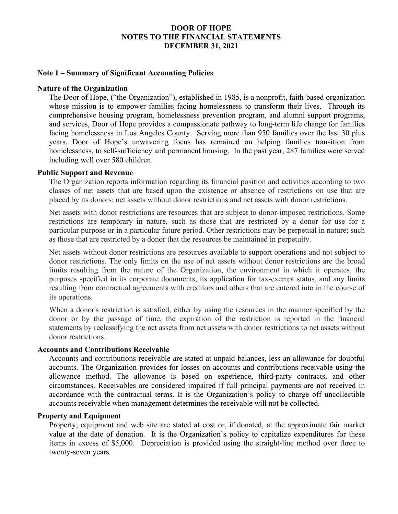#### **Note 1 – Summary of Significant Accounting Policies**

#### **Nature of the Organization**

The Door of Hope, ("the Organization"), established in 1985, is a nonprofit, faith-based organization whose mission is to empower families facing homelessness to transform their lives. Through its comprehensive housing program, homelessness prevention program, and alumni support programs, and services, Door of Hope provides a compassionate pathway to long-term life change for families facing homelessness in Los Angeles County. Serving more than 950 families over the last 30 plus years, Door of Hope's unwavering focus has remained on helping families transition from homelessness, to self-sufficiency and permanent housing. In the past year, 287 families were served including well over 580 children.

#### **Public Support and Revenue**

The Organization reports information regarding its financial position and activities according to two classes of net assets that are based upon the existence or absence of restrictions on use that are placed by its donors: net assets without donor restrictions and net assets with donor restrictions.

Net assets with donor restrictions are resources that are subject to donor-imposed restrictions. Some restrictions are temporary in nature, such as those that are restricted by a donor for use for a particular purpose or in a particular future period. Other restrictions may be perpetual in nature; such as those that are restricted by a donor that the resources be maintained in perpetuity.

Net assets without donor restrictions are resources available to support operations and not subject to donor restrictions. The only limits on the use of net assets without donor restrictions are the broad limits resulting from the nature of the Organization, the environment in which it operates, the purposes specified in its corporate documents, its application for tax-exempt status, and any limits resulting from contractual agreements with creditors and others that are entered into in the course of its operations.

When a donor's restriction is satisfied, either by using the resources in the manner specified by the donor or by the passage of time, the expiration of the restriction is reported in the financial statements by reclassifying the net assets from net assets with donor restrictions to net assets without donor restrictions.

#### **Accounts and Contributions Receivable**

Accounts and contributions receivable are stated at unpaid balances, less an allowance for doubtful accounts. The Organization provides for losses on accounts and contributions receivable using the allowance method. The allowance is based on experience, third-party contracts, and other circumstances. Receivables are considered impaired if full principal payments are not received in accordance with the contractual terms. It is the Organization's policy to charge off uncollectible accounts receivable when management determines the receivable will not be collected.

#### **Property and Equipment**

Property, equipment and web site are stated at cost or, if donated, at the approximate fair market value at the date of donation. It is the Organization's policy to capitalize expenditures for these items in excess of \$5,000. Depreciation is provided using the straight-line method over three to twenty-seven years.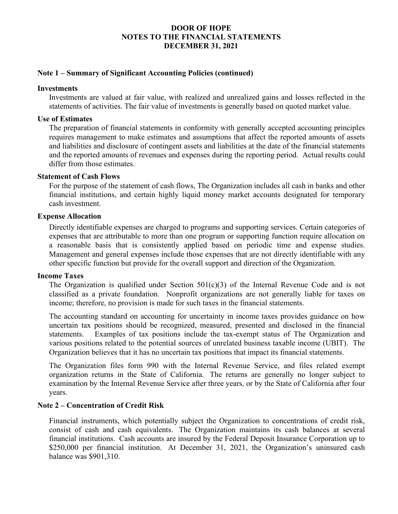#### **Note 1 – Summary of Significant Accounting Policies (continued)**

#### **Investments**

Investments are valued at fair value, with realized and unrealized gains and losses reflected in the statements of activities. The fair value of investments is generally based on quoted market value.

#### **Use of Estimates**

The preparation of financial statements in conformity with generally accepted accounting principles requires management to make estimates and assumptions that affect the reported amounts of assets and liabilities and disclosure of contingent assets and liabilities at the date of the financial statements and the reported amounts of revenues and expenses during the reporting period. Actual results could differ from those estimates.

## **Statement of Cash Flows**

For the purpose of the statement of cash flows, The Organization includes all cash in banks and other financial institutions, and certain highly liquid money market accounts designated for temporary cash investment.

#### **Expense Allocation**

Directly identifiable expenses are charged to programs and supporting services. Certain categories of expenses that are attributable to more than one program or supporting function require allocation on a reasonable basis that is consistently applied based on periodic time and expense studies. Management and general expenses include those expenses that are not directly identifiable with any other specific function but provide for the overall support and direction of the Organization.

#### **Income Taxes**

The Organization is qualified under Section  $501(c)(3)$  of the Internal Revenue Code and is not classified as a private foundation. Nonprofit organizations are not generally liable for taxes on income; therefore, no provision is made for such taxes in the financial statements.

The accounting standard on accounting for uncertainty in income taxes provides guidance on how uncertain tax positions should be recognized, measured, presented and disclosed in the financial statements. Examples of tax positions include the tax-exempt status of The Organization and various positions related to the potential sources of unrelated business taxable income (UBIT). The Organization believes that it has no uncertain tax positions that impact its financial statements.

The Organization files form 990 with the Internal Revenue Service, and files related exempt organization returns in the State of California. The returns are generally no longer subject to examination by the Internal Revenue Service after three years, or by the State of California after four years.

#### **Note 2 – Concentration of Credit Risk**

Financial instruments, which potentially subject the Organization to concentrations of credit risk, consist of cash and cash equivalents. The Organization maintains its cash balances at several financial institutions. Cash accounts are insured by the Federal Deposit Insurance Corporation up to \$250,000 per financial institution. At December 31, 2021, the Organization's uninsured cash balance was \$901,310.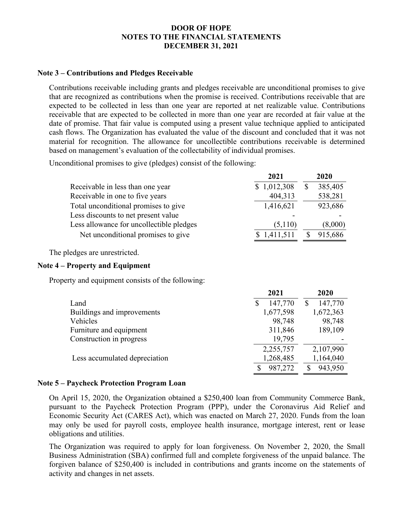## **Note 3 – Contributions and Pledges Receivable**

Contributions receivable including grants and pledges receivable are unconditional promises to give that are recognized as contributions when the promise is received. Contributions receivable that are expected to be collected in less than one year are reported at net realizable value. Contributions receivable that are expected to be collected in more than one year are recorded at fair value at the date of promise. That fair value is computed using a present value technique applied to anticipated cash flows. The Organization has evaluated the value of the discount and concluded that it was not material for recognition. The allowance for uncollectible contributions receivable is determined based on management's evaluation of the collectability of individual promises.

Unconditional promises to give (pledges) consist of the following:

|                                          | 2021        | 2020    |
|------------------------------------------|-------------|---------|
| Receivable in less than one year         | \$1,012,308 | 385,405 |
| Receivable in one to five years          | 404,313     | 538,281 |
| Total unconditional promises to give     | 1,416,621   | 923,686 |
| Less discounts to net present value      |             |         |
| Less allowance for uncollectible pledges | (5,110)     | (8,000) |
| Net unconditional promises to give       | \$1,411,511 | 915,686 |

The pledges are unrestricted.

## **Note 4 – Property and Equipment**

Property and equipment consists of the following:

|                               | 2021         | 2020          |
|-------------------------------|--------------|---------------|
| Land                          | 147,770<br>S | 147,770<br>\$ |
| Buildings and improvements    | 1,677,598    | 1,672,363     |
| Vehicles                      | 98,748       | 98,748        |
| Furniture and equipment       | 311,846      | 189,109       |
| Construction in progress      | 19,795       |               |
|                               | 2,255,757    | 2,107,990     |
| Less accumulated depreciation | 1,268,485    | 1,164,040     |
|                               | 987,272      | 943,950       |

## **Note 5 – Paycheck Protection Program Loan**

On April 15, 2020, the Organization obtained a \$250,400 loan from Community Commerce Bank, pursuant to the Paycheck Protection Program (PPP), under the Coronavirus Aid Relief and Economic Security Act (CARES Act), which was enacted on March 27, 2020. Funds from the loan may only be used for payroll costs, employee health insurance, mortgage interest, rent or lease obligations and utilities.

The Organization was required to apply for loan forgiveness. On November 2, 2020, the Small Business Administration (SBA) confirmed full and complete forgiveness of the unpaid balance. The forgiven balance of \$250,400 is included in contributions and grants income on the statements of activity and changes in net assets.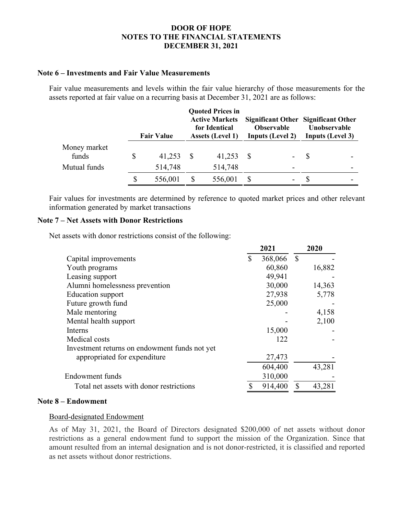#### **Note 6 – Investments and Fair Value Measurements**

Fair value measurements and levels within the fair value hierarchy of those measurements for the assets reported at fair value on a recurring basis at December 31, 2021 are as follows:

|                       | <b>Fair Value</b> | <b>Quoted Prices in</b><br><b>Active Markets</b><br>for Identical<br><b>Assets (Level 1)</b> | <b>Observable</b><br><b>Inputs (Level 2)</b> |              | <b>Significant Other Significant Other</b><br>Unobservable<br><b>Inputs (Level 3)</b> |
|-----------------------|-------------------|----------------------------------------------------------------------------------------------|----------------------------------------------|--------------|---------------------------------------------------------------------------------------|
| Money market<br>funds | \$<br>41,253      | 41,253                                                                                       | -                                            | <sup>S</sup> |                                                                                       |
| Mutual funds          | 514,748           | 514,748                                                                                      | -                                            |              |                                                                                       |
|                       | \$<br>556,001     | 556,001                                                                                      |                                              |              |                                                                                       |

Fair values for investments are determined by reference to quoted market prices and other relevant information generated by market transactions

### **Note 7 – Net Assets with Donor Restrictions**

Net assets with donor restrictions consist of the following:

|                                               | 2021    |               | 2020   |
|-----------------------------------------------|---------|---------------|--------|
| Capital improvements                          | 368,066 | $\mathcal{S}$ |        |
| Youth programs                                | 60,860  |               | 16,882 |
| Leasing support                               | 49,941  |               |        |
| Alumni homelessness prevention                | 30,000  |               | 14,363 |
| Education support                             | 27,938  |               | 5,778  |
| Future growth fund                            | 25,000  |               |        |
| Male mentoring                                |         |               | 4,158  |
| Mental health support                         |         |               | 2,100  |
| Interns                                       | 15,000  |               |        |
| Medical costs                                 | 122     |               |        |
| Investment returns on endowment funds not yet |         |               |        |
| appropriated for expenditure                  | 27,473  |               |        |
|                                               | 604,400 |               | 43,281 |
| Endowment funds                               | 310,000 |               |        |
| Total net assets with donor restrictions      | 914,400 | \$            | 43,281 |

## **Note 8 – Endowment**

#### Board-designated Endowment

As of May 31, 2021, the Board of Directors designated \$200,000 of net assets without donor restrictions as a general endowment fund to support the mission of the Organization. Since that amount resulted from an internal designation and is not donor-restricted, it is classified and reported as net assets without donor restrictions.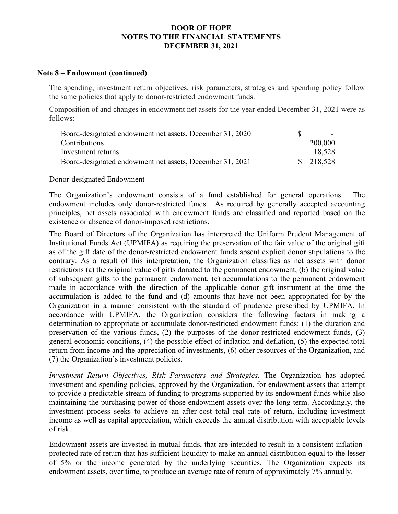#### **Note 8 – Endowment (continued)**

The spending, investment return objectives, risk parameters, strategies and spending policy follow the same policies that apply to donor-restricted endowment funds.

Composition of and changes in endowment net assets for the year ended December 31, 2021 were as follows:

| Board-designated endowment net assets, December 31, 2020 |           |
|----------------------------------------------------------|-----------|
| Contributions                                            | 200,000   |
| Investment returns                                       | 18,528    |
| Board-designated endowment net assets, December 31, 2021 | \$218,528 |

#### Donor-designated Endowment

The Organization's endowment consists of a fund established for general operations. The endowment includes only donor-restricted funds. As required by generally accepted accounting principles, net assets associated with endowment funds are classified and reported based on the existence or absence of donor-imposed restrictions.

The Board of Directors of the Organization has interpreted the Uniform Prudent Management of Institutional Funds Act (UPMIFA) as requiring the preservation of the fair value of the original gift as of the gift date of the donor-restricted endowment funds absent explicit donor stipulations to the contrary. As a result of this interpretation, the Organization classifies as net assets with donor restrictions (a) the original value of gifts donated to the permanent endowment, (b) the original value of subsequent gifts to the permanent endowment, (c) accumulations to the permanent endowment made in accordance with the direction of the applicable donor gift instrument at the time the accumulation is added to the fund and (d) amounts that have not been appropriated for by the Organization in a manner consistent with the standard of prudence prescribed by UPMIFA. In accordance with UPMIFA, the Organization considers the following factors in making a determination to appropriate or accumulate donor-restricted endowment funds: (1) the duration and preservation of the various funds, (2) the purposes of the donor-restricted endowment funds, (3) general economic conditions, (4) the possible effect of inflation and deflation, (5) the expected total return from income and the appreciation of investments, (6) other resources of the Organization, and (7) the Organization's investment policies.

*Investment Return Objectives, Risk Parameters and Strategies.* The Organization has adopted investment and spending policies, approved by the Organization, for endowment assets that attempt to provide a predictable stream of funding to programs supported by its endowment funds while also maintaining the purchasing power of those endowment assets over the long-term. Accordingly, the investment process seeks to achieve an after-cost total real rate of return, including investment income as well as capital appreciation, which exceeds the annual distribution with acceptable levels of risk.

Endowment assets are invested in mutual funds, that are intended to result in a consistent inflationprotected rate of return that has sufficient liquidity to make an annual distribution equal to the lesser of 5% or the income generated by the underlying securities. The Organization expects its endowment assets, over time, to produce an average rate of return of approximately 7% annually.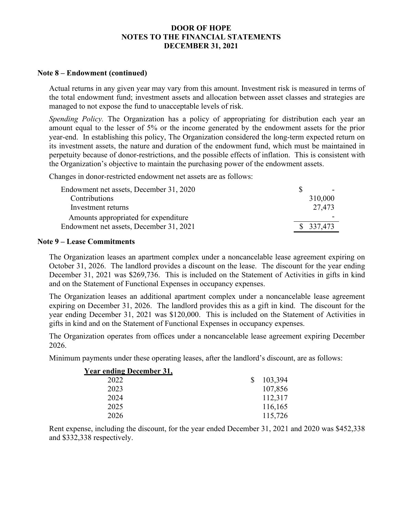### **Note 8 – Endowment (continued)**

Actual returns in any given year may vary from this amount. Investment risk is measured in terms of the total endowment fund; investment assets and allocation between asset classes and strategies are managed to not expose the fund to unacceptable levels of risk.

*Spending Policy.* The Organization has a policy of appropriating for distribution each year an amount equal to the lesser of 5% or the income generated by the endowment assets for the prior year-end. In establishing this policy, The Organization considered the long-term expected return on its investment assets, the nature and duration of the endowment fund, which must be maintained in perpetuity because of donor-restrictions, and the possible effects of inflation. This is consistent with the Organization's objective to maintain the purchasing power of the endowment assets.

Changes in donor-restricted endowment net assets are as follows:

| Endowment net assets, December 31, 2020 |           |
|-----------------------------------------|-----------|
| Contributions                           | 310,000   |
| Investment returns                      | 27,473    |
| Amounts appropriated for expenditure    |           |
| Endowment net assets, December 31, 2021 | \$337,473 |

#### **Note 9 – Lease Commitments**

The Organization leases an apartment complex under a noncancelable lease agreement expiring on October 31, 2026. The landlord provides a discount on the lease. The discount for the year ending December 31, 2021 was \$269,736. This is included on the Statement of Activities in gifts in kind and on the Statement of Functional Expenses in occupancy expenses.

The Organization leases an additional apartment complex under a noncancelable lease agreement expiring on December 31, 2026. The landlord provides this as a gift in kind. The discount for the year ending December 31, 2021 was \$120,000. This is included on the Statement of Activities in gifts in kind and on the Statement of Functional Expenses in occupancy expenses.

The Organization operates from offices under a noncancelable lease agreement expiring December 2026.

Minimum payments under these operating leases, after the landlord's discount, are as follows:

| <b>Year ending December 31,</b> |          |         |
|---------------------------------|----------|---------|
| 2022                            | <b>S</b> | 103,394 |
| 2023                            |          | 107,856 |
| 2024                            |          | 112,317 |
| 2025                            |          | 116,165 |
| 2026                            |          | 115,726 |

Rent expense, including the discount, for the year ended December 31, 2021 and 2020 was \$452,338 and \$332,338 respectively.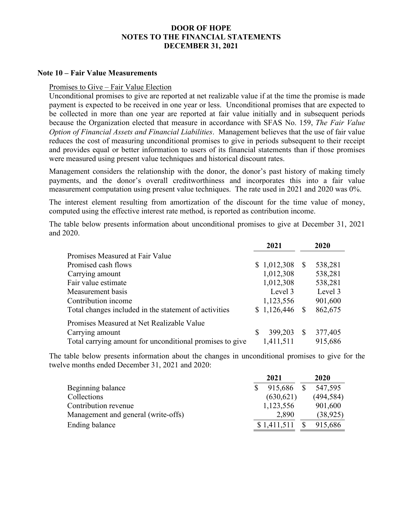#### **Note 10 – Fair Value Measurements**

#### Promises to Give – Fair Value Election

Unconditional promises to give are reported at net realizable value if at the time the promise is made payment is expected to be received in one year or less. Unconditional promises that are expected to be collected in more than one year are reported at fair value initially and in subsequent periods because the Organization elected that measure in accordance with SFAS No. 159, *The Fair Value Option of Financial Assets and Financial Liabilities*. Management believes that the use of fair value reduces the cost of measuring unconditional promises to give in periods subsequent to their receipt and provides equal or better information to users of its financial statements than if those promises were measured using present value techniques and historical discount rates.

Management considers the relationship with the donor, the donor's past history of making timely payments, and the donor's overall creditworthiness and incorporates this into a fair value measurement computation using present value techniques. The rate used in 2021 and 2020 was 0%.

The interest element resulting from amortization of the discount for the time value of money, computed using the effective interest rate method, is reported as contribution income.

The table below presents information about unconditional promises to give at December 31, 2021 and 2020.

|                                                          |   | 2021        |              | 2020    |
|----------------------------------------------------------|---|-------------|--------------|---------|
| Promises Measured at Fair Value                          |   |             |              |         |
| Promised cash flows                                      |   | \$1,012,308 | <sup>S</sup> | 538,281 |
| Carrying amount                                          |   | 1,012,308   |              | 538,281 |
| Fair value estimate                                      |   | 1,012,308   |              | 538,281 |
| Measurement basis                                        |   | Level 3     |              | Level 3 |
| Contribution income                                      |   | 1,123,556   |              | 901,600 |
| Total changes included in the statement of activities    |   | \$1,126,446 |              | 862,675 |
| Promises Measured at Net Realizable Value                |   |             |              |         |
| Carrying amount                                          | S | 399,203     | <sup>S</sup> | 377,405 |
| Total carrying amount for unconditional promises to give |   | 1,411,511   |              | 915,686 |

The table below presents information about the changes in unconditional promises to give for the twelve months ended December 31, 2021 and 2020:

|                                     | 2021        | 2020       |
|-------------------------------------|-------------|------------|
| Beginning balance                   | 915,686     | 547,595    |
| Collections                         | (630, 621)  | (494, 584) |
| Contribution revenue                | 1,123,556   | 901,600    |
| Management and general (write-offs) | 2,890       | (38, 925)  |
| Ending balance                      | \$1,411,511 | 915,686    |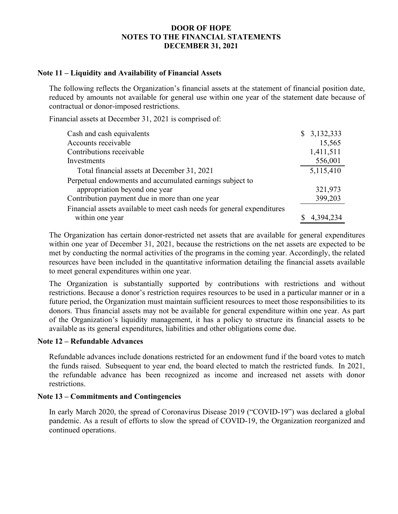### **Note 11 – Liquidity and Availability of Financial Assets**

The following reflects the Organization's financial assets at the statement of financial position date, reduced by amounts not available for general use within one year of the statement date because of contractual or donor-imposed restrictions.

Financial assets at December 31, 2021 is comprised of:

| Cash and cash equivalents                                              | \$3,132,333 |
|------------------------------------------------------------------------|-------------|
| Accounts receivable                                                    | 15,565      |
| Contributions receivable                                               | 1,411,511   |
| Investments                                                            | 556,001     |
| Total financial assets at December 31, 2021                            | 5,115,410   |
| Perpetual endowments and accumulated earnings subject to               |             |
| appropriation beyond one year                                          | 321,973     |
| Contribution payment due in more than one year                         | 399,203     |
| Financial assets available to meet cash needs for general expenditures |             |
| within one year                                                        | 4,394,234   |

The Organization has certain donor-restricted net assets that are available for general expenditures within one year of December 31, 2021, because the restrictions on the net assets are expected to be met by conducting the normal activities of the programs in the coming year. Accordingly, the related resources have been included in the quantitative information detailing the financial assets available to meet general expenditures within one year.

The Organization is substantially supported by contributions with restrictions and without restrictions. Because a donor's restriction requires resources to be used in a particular manner or in a future period, the Organization must maintain sufficient resources to meet those responsibilities to its donors. Thus financial assets may not be available for general expenditure within one year. As part of the Organization's liquidity management, it has a policy to structure its financial assets to be available as its general expenditures, liabilities and other obligations come due.

#### **Note 12 – Refundable Advances**

Refundable advances include donations restricted for an endowment fund if the board votes to match the funds raised. Subsequent to year end, the board elected to match the restricted funds. In 2021, the refundable advance has been recognized as income and increased net assets with donor restrictions.

#### **Note 13 – Commitments and Contingencies**

In early March 2020, the spread of Coronavirus Disease 2019 ("COVID-19") was declared a global pandemic. As a result of efforts to slow the spread of COVID-19, the Organization reorganized and continued operations.